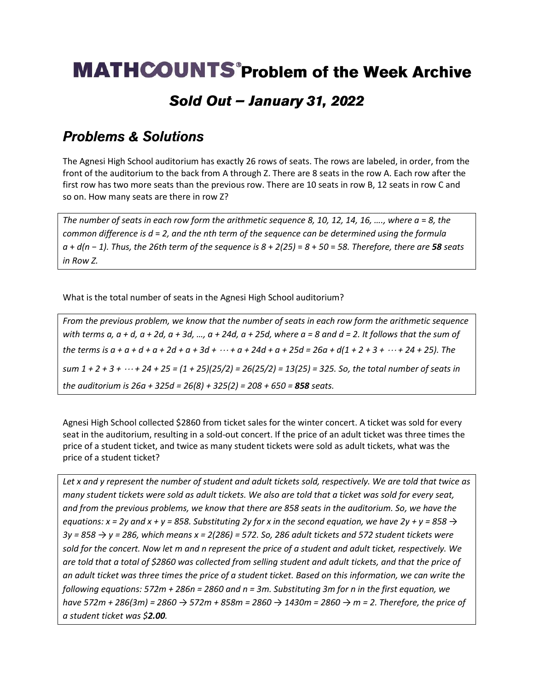## **MATHCOUNTS** Problem of the Week Archive

### Sold Out - January 31, 2022

#### **Problems & Solutions**

The Agnesi High School auditorium has exactly 26 rows of seats. The rows are labeled, in order, from the front of the auditorium to the back from A through Z. There are 8 seats in the row A. Each row after the first row has two more seats than the previous row. There are 10 seats in row B, 12 seats in row C and so on. How many seats are there in row Z?

*The number of seats in each row form the arithmetic sequence 8, 10, 12, 14, 16, ...., where a = 8, the common difference is d* = *2, and the nth term of the sequence can be determined using the formula a* + *d(n* − *1). Thus, the 26th term of the sequence is 8* + *2(25)* = *8* + *50* = *58. Therefore, there are 58 seats in Row Z.*

What is the total number of seats in the Agnesi High School auditorium?

*From the previous problem, we know that the number of seats in each row form the arithmetic sequence with terms a, a + d, a + 2d, a + 3d, …, a + 24d, a + 25d, where a = 8 and d = 2. It follows that the sum of*  the terms is  $a + a + d + a + 2d + a + 3d + \cdots + a + 24d + a + 25d = 26a + d(1 + 2 + 3 + \cdots + 24 + 25)$ . The *sum 1 + 2 + 3 + + 24 + 25 = (1 + 25)(25/2) = 26(25/2) = 13(25) = 325. So, the total number of seats in the auditorium is 26a + 325d = 26(8) + 325(2) = 208 + 650 = 858 seats.*

Agnesi High School collected \$2860 from ticket sales for the winter concert. A ticket was sold for every seat in the auditorium, resulting in a sold-out concert. If the price of an adult ticket was three times the price of a student ticket, and twice as many student tickets were sold as adult tickets, what was the price of a student ticket?

*Let x and y represent the number of student and adult tickets sold, respectively. We are told that twice as many student tickets were sold as adult tickets. We also are told that a ticket was sold for every seat, and from the previous problems, we know that there are 858 seats in the auditorium. So, we have the equations: x* = 2y and *x* + y = 858. Substituting 2y for x in the second equation, we have 2y + y = 858  $\rightarrow$ *3y = 858 → y = 286, which means x = 2(286) = 572. So, 286 adult tickets and 572 student tickets were sold for the concert. Now let m and n represent the price of a student and adult ticket, respectively. We are told that a total of \$2860 was collected from selling student and adult tickets, and that the price of an adult ticket was three times the price of a student ticket. Based on this information, we can write the following equations: 572m + 286n = 2860 and n = 3m. Substituting 3m for n in the first equation, we have 572m + 286(3m) = 2860 → 572m + 858m = 2860 → 1430m = 2860 → m = 2. Therefore, the price of a student ticket was \$2.00.*